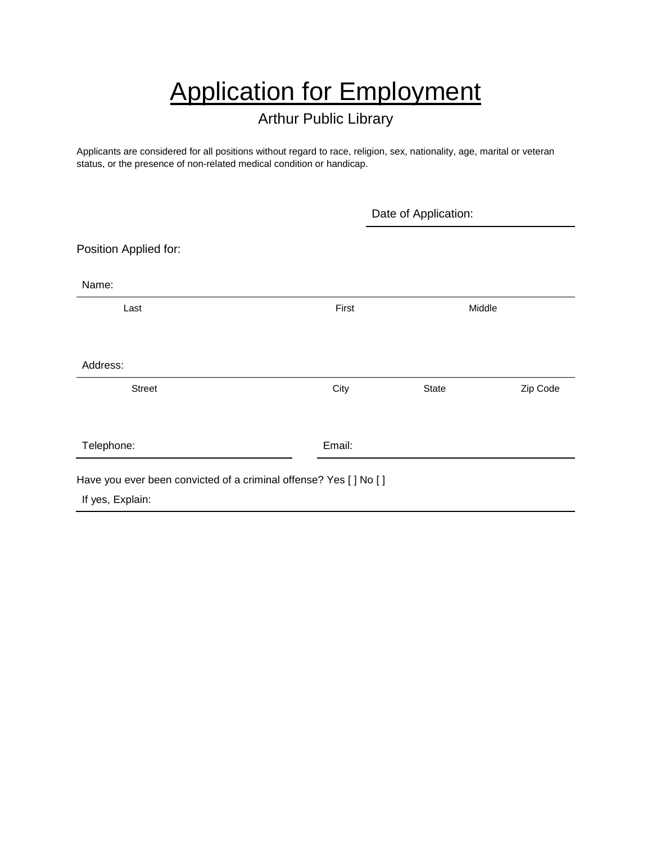# Application for Employment

#### Arthur Public Library

Applicants are considered for all positions without regard to race, religion, sex, nationality, age, marital or veteran status, or the presence of non-related medical condition or handicap.

|                                                                    |        | Date of Application: |          |  |
|--------------------------------------------------------------------|--------|----------------------|----------|--|
| Position Applied for:                                              |        |                      |          |  |
| Name:                                                              |        |                      |          |  |
| Last                                                               | First  | Middle               |          |  |
|                                                                    |        |                      |          |  |
| Address:                                                           |        |                      |          |  |
| <b>Street</b>                                                      | City   | <b>State</b>         | Zip Code |  |
| Telephone:                                                         | Email: |                      |          |  |
| Have you ever been convicted of a criminal offense? Yes [ ] No [ ] |        |                      |          |  |
| If yes, Explain:                                                   |        |                      |          |  |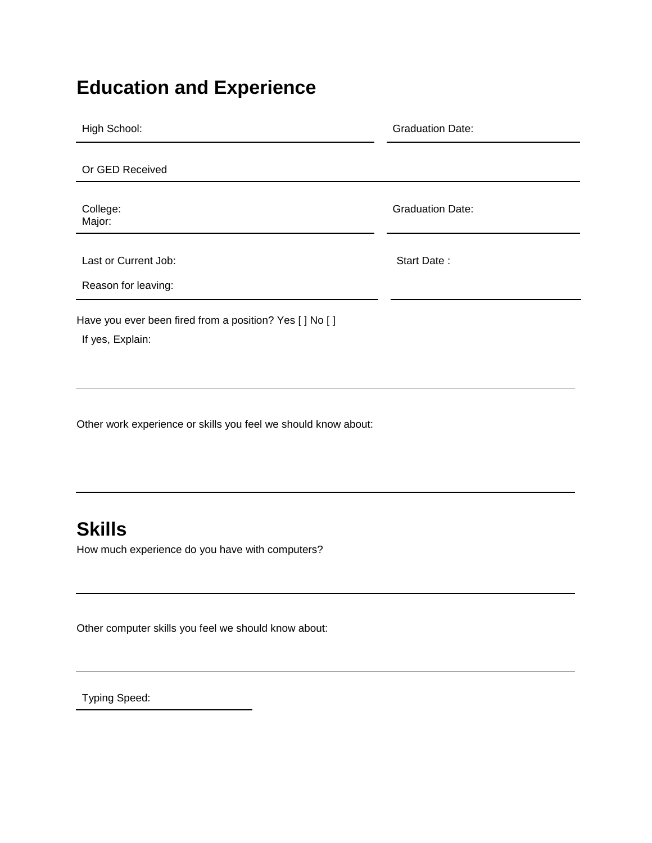## **Education and Experience**

| High School:                                                                 | <b>Graduation Date:</b> |
|------------------------------------------------------------------------------|-------------------------|
| Or GED Received                                                              |                         |
| College:<br>Major:                                                           | <b>Graduation Date:</b> |
| Last or Current Job:<br>Reason for leaving:                                  | Start Date:             |
| Have you ever been fired from a position? Yes [ ] No [ ]<br>If yes, Explain: |                         |

Other work experience or skills you feel we should know about:

#### **Skills**

How much experience do you have with computers?

Other computer skills you feel we should know about:

Typing Speed: